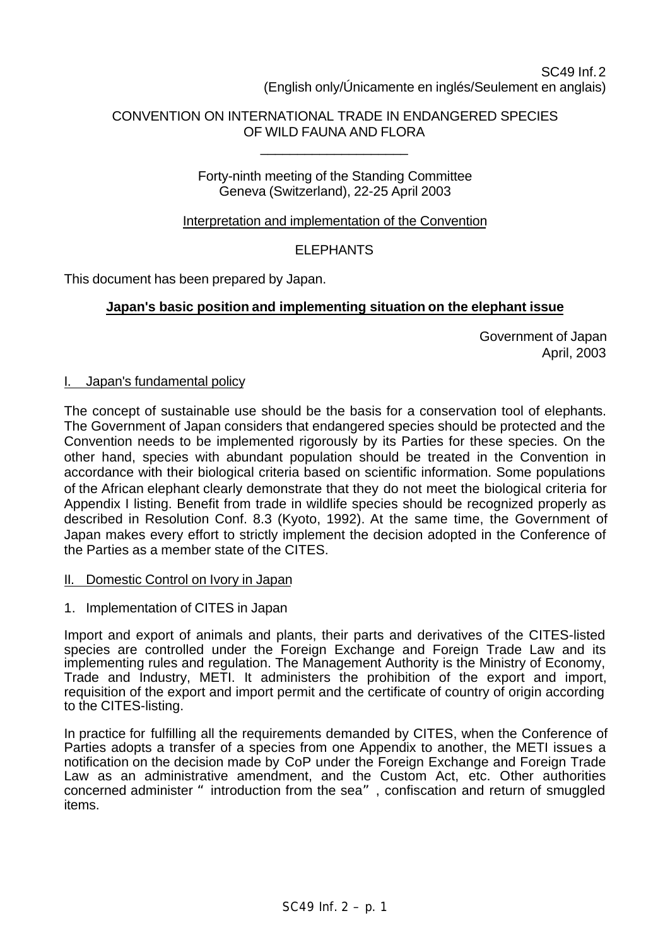# SC49 Inf. 2 (English only/Únicamente en inglés/Seulement en anglais)

# CONVENTION ON INTERNATIONAL TRADE IN ENDANGERED SPECIES OF WILD FAUNA AND FLORA

\_\_\_\_\_\_\_\_\_\_\_\_\_\_\_\_\_\_\_\_

## Forty-ninth meeting of the Standing Committee Geneva (Switzerland), 22-25 April 2003

# Interpretation and implementation of the Convention

# **ELEPHANTS**

This document has been prepared by Japan.

## **Japan's basic position and implementing situation on the elephant issue**

Government of Japan April, 2003

#### I. Japan's fundamental policy

The concept of sustainable use should be the basis for a conservation tool of elephants. The Government of Japan considers that endangered species should be protected and the Convention needs to be implemented rigorously by its Parties for these species. On the other hand, species with abundant population should be treated in the Convention in accordance with their biological criteria based on scientific information. Some populations of the African elephant clearly demonstrate that they do not meet the biological criteria for Appendix I listing. Benefit from trade in wildlife species should be recognized properly as described in Resolution Conf. 8.3 (Kyoto, 1992). At the same time, the Government of Japan makes every effort to strictly implement the decision adopted in the Conference of the Parties as a member state of the CITES.

## II. Domestic Control on Ivory in Japan

1. Implementation of CITES in Japan

Import and export of animals and plants, their parts and derivatives of the CITES-listed species are controlled under the Foreign Exchange and Foreign Trade Law and its implementing rules and regulation. The Management Authority is the Ministry of Economy, Trade and Industry, METI. It administers the prohibition of the export and import, requisition of the export and import permit and the certificate of country of origin according to the CITES-listing.

In practice for fulfilling all the requirements demanded by CITES, when the Conference of Parties adopts a transfer of a species from one Appendix to another, the METI issues a notification on the decision made by CoP under the Foreign Exchange and Foreign Trade Law as an administrative amendment, and the Custom Act, etc. Other authorities concerned administer "introduction from the sea", confiscation and return of smuggled items.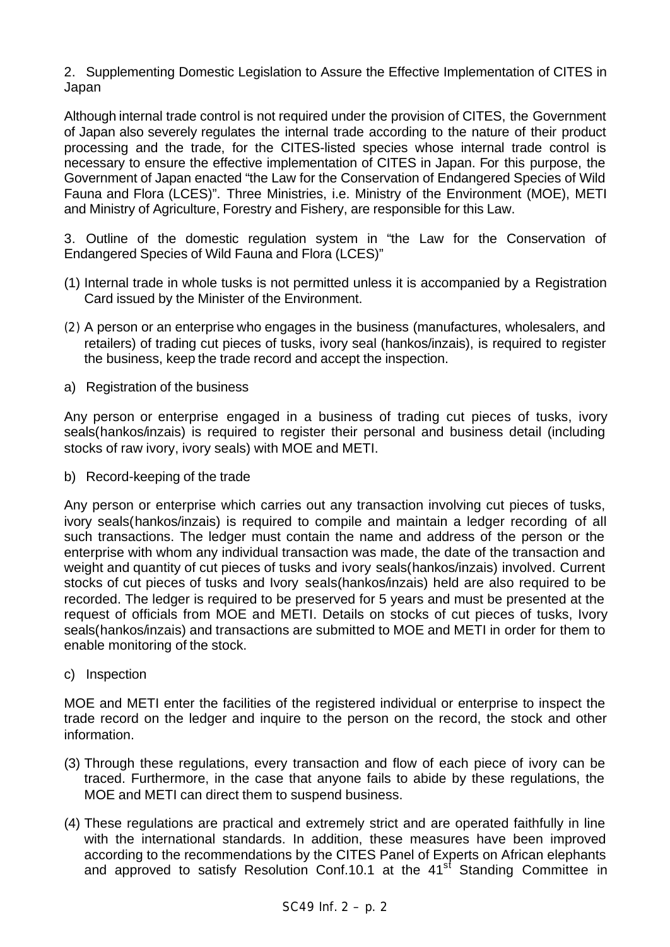2. Supplementing Domestic Legislation to Assure the Effective Implementation of CITES in Japan

Although internal trade control is not required under the provision of CITES, the Government of Japan also severely regulates the internal trade according to the nature of their product processing and the trade, for the CITES-listed species whose internal trade control is necessary to ensure the effective implementation of CITES in Japan. For this purpose, the Government of Japan enacted "the Law for the Conservation of Endangered Species of Wild Fauna and Flora (LCES)". Three Ministries, i.e. Ministry of the Environment (MOE), METI and Ministry of Agriculture, Forestry and Fishery, are responsible for this Law.

3. Outline of the domestic regulation system in "the Law for the Conservation of Endangered Species of Wild Fauna and Flora (LCES)"

- (1) Internal trade in whole tusks is not permitted unless it is accompanied by a Registration Card issued by the Minister of the Environment.
- (2) A person or an enterprise who engages in the business (manufactures, wholesalers, and retailers) of trading cut pieces of tusks, ivory seal (hankos/inzais), is required to register the business, keep the trade record and accept the inspection.
- a) Registration of the business

Any person or enterprise engaged in a business of trading cut pieces of tusks, ivory seals(hankos/inzais) is required to register their personal and business detail (including stocks of raw ivory, ivory seals) with MOE and METI.

b) Record-keeping of the trade

Any person or enterprise which carries out any transaction involving cut pieces of tusks, ivory seals(hankos/inzais) is required to compile and maintain a ledger recording of all such transactions. The ledger must contain the name and address of the person or the enterprise with whom any individual transaction was made, the date of the transaction and weight and quantity of cut pieces of tusks and ivory seals(hankos/inzais) involved. Current stocks of cut pieces of tusks and Ivory seals(hankos/inzais) held are also required to be recorded. The ledger is required to be preserved for 5 years and must be presented at the request of officials from MOE and METI. Details on stocks of cut pieces of tusks, Ivory seals(hankos/inzais) and transactions are submitted to MOE and METI in order for them to enable monitoring of the stock.

c) Inspection

MOE and METI enter the facilities of the registered individual or enterprise to inspect the trade record on the ledger and inquire to the person on the record, the stock and other information.

- (3) Through these regulations, every transaction and flow of each piece of ivory can be traced. Furthermore, in the case that anyone fails to abide by these regulations, the MOE and METI can direct them to suspend business.
- (4) These regulations are practical and extremely strict and are operated faithfully in line with the international standards. In addition, these measures have been improved according to the recommendations by the CITES Panel of Experts on African elephants and approved to satisfy Resolution Conf.10.1 at the 41<sup>st</sup> Standing Committee in